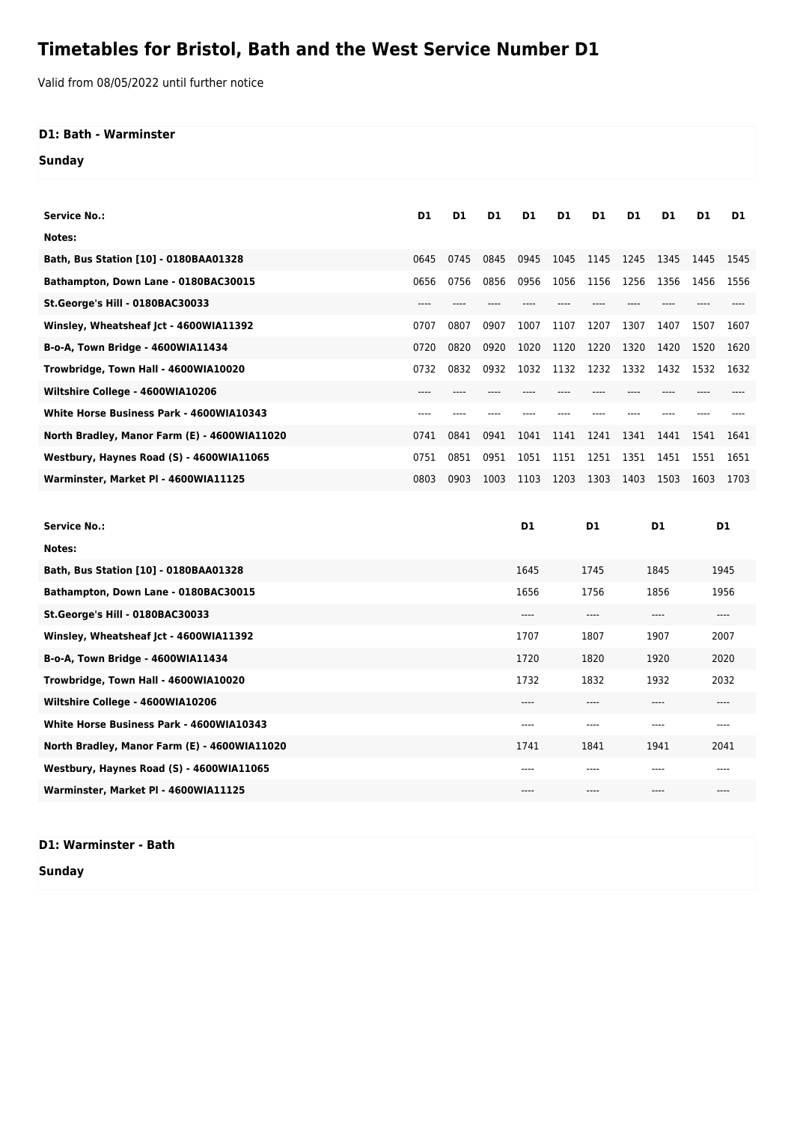## **Timetables for Bristol, Bath and the West Service Number D1**

Valid from 08/05/2022 until further notice

## **D1: Bath - Warminster**

**Sunday**

| <b>Service No.:</b>                             | D1   | D1   | D <sub>1</sub> | D1             | D1            | D1           | D1   | D1   | D1   | D1   |
|-------------------------------------------------|------|------|----------------|----------------|---------------|--------------|------|------|------|------|
| Notes:                                          |      |      |                |                |               |              |      |      |      |      |
| Bath, Bus Station [10] - 0180BAA01328           | 0645 | 0745 | 0845           | 0945           | 1045          | 1145         | 1245 | 1345 | 1445 | 1545 |
| Bathampton, Down Lane - 0180BAC30015            | 0656 | 0756 | 0856           | 0956           | 1056          | 1156         | 1256 | 1356 | 1456 | 1556 |
| St.George's Hill - 0180BAC30033                 | ---- |      |                |                |               |              |      |      |      |      |
| Winsley, Wheatsheaf Jct - 4600WIA11392          | 0707 | 0807 | 0907           | 1007           | 1107          | 1207         | 1307 | 1407 | 1507 | 1607 |
| B-o-A, Town Bridge - 4600WIA11434               | 0720 | 0820 | 0920           | 1020           | 1120          | 1220         | 1320 | 1420 | 1520 | 1620 |
| Trowbridge, Town Hall - 4600WIA10020            | 0732 | 0832 | 0932           | 1032           | 1132          | 1232         | 1332 | 1432 | 1532 | 1632 |
| Wiltshire College - 4600WIA10206                | ---- | ---- |                |                |               | $----$       | ---- | ---- |      |      |
| <b>White Horse Business Park - 4600WIA10343</b> | ---- |      |                |                |               |              |      |      |      |      |
| North Bradley, Manor Farm (E) - 4600WIA11020    | 0741 | 0841 | 0941           | 1041           | 1141          | 1241         | 1341 | 1441 | 1541 | 1641 |
| Westbury, Haynes Road (S) - 4600WIA11065        | 0751 | 0851 | 0951           | 1051           | 1151          | 1251         | 1351 | 1451 | 1551 | 1651 |
| Warminster, Market PI - 4600WIA11125            | 0803 | 0903 | 1003           | 1103           | 1203          | 1303         | 1403 | 1503 | 1603 | 1703 |
|                                                 |      |      |                |                |               |              |      |      |      |      |
| <b>Service No.:</b>                             |      |      |                | D <sub>1</sub> |               | D1           | D1   |      | D1   |      |
| Notes:                                          |      |      |                |                |               |              |      |      |      |      |
| Bath, Bus Station [10] - 0180BAA01328           |      |      |                | 1645           |               | 1745         |      | 1845 |      | 1945 |
| Bathampton, Down Lane - 0180BAC30015            |      |      |                | 1656           |               | 1756<br>1856 |      |      | 1956 |      |
| St.George's Hill - 0180BAC30033                 |      |      |                | $---$          | ----<br>$---$ |              |      | ---- |      |      |
| Winsley, Wheatsheaf Jct - 4600WIA11392          |      |      |                | 1707           |               | 1807         |      | 1907 |      | 2007 |

**B-o-A, Town Bridge - 4600WIA11434** 1720 1820 1920 2020 **Trowbridge, Town Hall - 4600WIA10020** 1732 1832 1932 2032 **Wiltshire College - 4600WIA10206** ---- ---- ---- ---- **White Horse Business Park - 4600WIA10343** ---- ---- ---- ---- **North Bradley, Manor Farm (E) - 4600WIA11020** 1741 1841 1841 1941 2041 **Westbury, Haynes Road (S) - 4600WIA11065** ---- ---- ---- ---- **Warminster, Market Pl - 4600WIA11125** ---- ---- ---- ----

**D1: Warminster - Bath**

**Sunday**